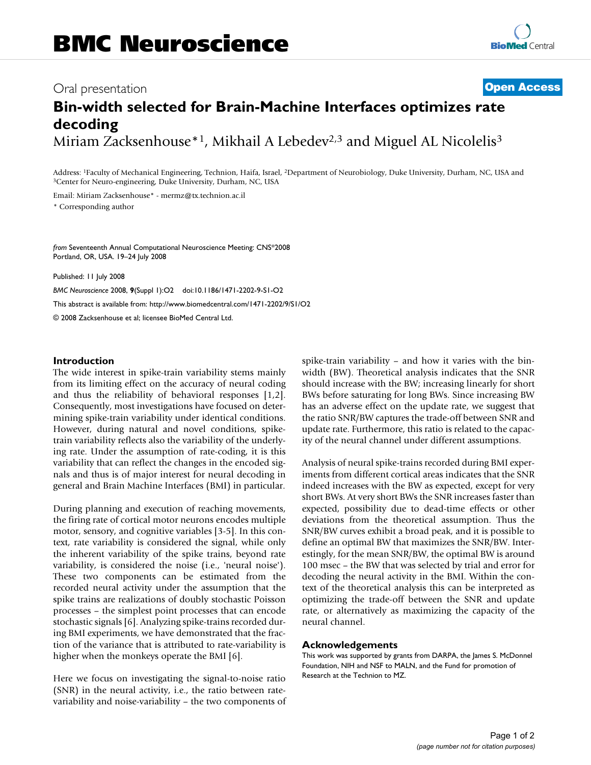# Oral presentation **[Open Access](http://www.biomedcentral.com/info/about/charter/)**

# **Bin-width selected for Brain-Machine Interfaces optimizes rate decoding** Miriam Zacksenhouse\*<sup>1</sup>, Mikhail A Lebedev<sup>2,3</sup> and Miguel AL Nicolelis<sup>3</sup>

Address: <sup>1</sup>Faculty of Mechanical Engineering, Technion, Haifa, Israel, <sup>2</sup>Department of Neurobiology, Duke University, Durham, NC, USA and <sup>3</sup>Center for Neuro-engineering, Duke University, Durham, NC, USA

Email: Miriam Zacksenhouse\* - mermz@tx.technion.ac.il

\* Corresponding author

*from* Seventeenth Annual Computational Neuroscience Meeting: CNS\*2008 Portland, OR, USA. 19–24 July 2008

Published: 11 July 2008 *BMC Neuroscience* 2008, **9**(Suppl 1):O2 doi:10.1186/1471-2202-9-S1-O2 [This abstract is available from: http://www.biomedcentral.com/1471-2202/9/S1/O2](http://www.biomedcentral.com/1471-2202/9/S1/O2) © 2008 Zacksenhouse et al; licensee BioMed Central Ltd.

## **Introduction**

The wide interest in spike-train variability stems mainly from its limiting effect on the accuracy of neural coding and thus the reliability of behavioral responses [1,2]. Consequently, most investigations have focused on determining spike-train variability under identical conditions. However, during natural and novel conditions, spiketrain variability reflects also the variability of the underlying rate. Under the assumption of rate-coding, it is this variability that can reflect the changes in the encoded signals and thus is of major interest for neural decoding in general and Brain Machine Interfaces (BMI) in particular.

During planning and execution of reaching movements, the firing rate of cortical motor neurons encodes multiple motor, sensory, and cognitive variables [3-5]. In this context, rate variability is considered the signal, while only the inherent variability of the spike trains, beyond rate variability, is considered the noise (i.e., 'neural noise'). These two components can be estimated from the recorded neural activity under the assumption that the spike trains are realizations of doubly stochastic Poisson processes – the simplest point processes that can encode stochastic signals [6]. Analyzing spike-trains recorded during BMI experiments, we have demonstrated that the fraction of the variance that is attributed to rate-variability is higher when the monkeys operate the BMI [6].

Here we focus on investigating the signal-to-noise ratio (SNR) in the neural activity, i.e., the ratio between ratevariability and noise-variability – the two components of spike-train variability – and how it varies with the binwidth (BW). Theoretical analysis indicates that the SNR should increase with the BW; increasing linearly for short BWs before saturating for long BWs. Since increasing BW has an adverse effect on the update rate, we suggest that the ratio SNR/BW captures the trade-off between SNR and update rate. Furthermore, this ratio is related to the capacity of the neural channel under different assumptions.

Analysis of neural spike-trains recorded during BMI experiments from different cortical areas indicates that the SNR indeed increases with the BW as expected, except for very short BWs. At very short BWs the SNR increases faster than expected, possibility due to dead-time effects or other deviations from the theoretical assumption. Thus the SNR/BW curves exhibit a broad peak, and it is possible to define an optimal BW that maximizes the SNR/BW. Interestingly, for the mean SNR/BW, the optimal BW is around 100 msec – the BW that was selected by trial and error for decoding the neural activity in the BMI. Within the context of the theoretical analysis this can be interpreted as optimizing the trade-off between the SNR and update rate, or alternatively as maximizing the capacity of the neural channel.

### **Acknowledgements**

This work was supported by grants from DARPA, the James S. McDonnel Foundation, NIH and NSF to MALN, and the Fund for promotion of Research at the Technion to MZ.